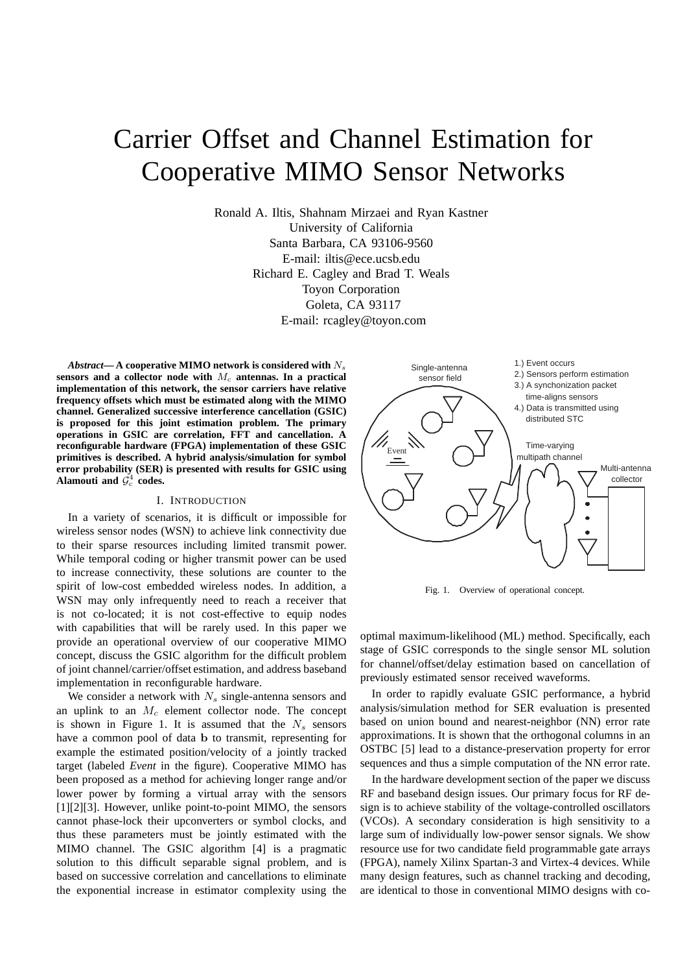# Carrier Offset and Channel Estimation for Cooperative MIMO Sensor Networks

Ronald A. Iltis, Shahnam Mirzaei and Ryan Kastner University of California Santa Barbara, CA 93106-9560 E-mail: iltis@ece.ucsb.edu Richard E. Cagley and Brad T. Weals Toyon Corporation Goleta, CA 93117 E-mail: rcagley@toyon.com

Abstract—A cooperative MIMO network is considered with  $N_s$ sensors and a collector node with  $M_c$  antennas. In a practical **implementation of this network, the sensor carriers have relative frequency offsets which must be estimated along with the MIMO channel. Generalized successive interference cancellation (GSIC) is proposed for this joint estimation problem. The primary operations in GSIC are correlation, FFT and cancellation. A reconfigurable hardware (FPGA) implementation of these GSIC primitives is described. A hybrid analysis/simulation for symbol error probability (SER) is presented with results for GSIC using** Alamouti and  $\mathcal{G}_c^4$  codes.

# I. INTRODUCTION

In a variety of scenarios, it is difficult or impossible for wireless sensor nodes (WSN) to achieve link connectivity due to their sparse resources including limited transmit power. While temporal coding or higher transmit power can be used to increase connectivity, these solutions are counter to the spirit of low-cost embedded wireless nodes. In addition, a WSN may only infrequently need to reach a receiver that is not co-located; it is not cost-effective to equip nodes with capabilities that will be rarely used. In this paper we provide an operational overview of our cooperative MIMO concept, discuss the GSIC algorithm for the difficult problem of joint channel/carrier/offset estimation, and address baseband implementation in reconfigurable hardware.

We consider a network with  $N_s$  single-antenna sensors and an uplink to an  $M_c$  element collector node. The concept is shown in Figure 1. It is assumed that the  $N_s$  sensors have a common pool of data b to transmit, representing for example the estimated position/velocity of a jointly tracked target (labeled *Event* in the figure). Cooperative MIMO has been proposed as a method for achieving longer range and/or lower power by forming a virtual array with the sensors [1][2][3]. However, unlike point-to-point MIMO, the sensors cannot phase-lock their upconverters or symbol clocks, and thus these parameters must be jointly estimated with the MIMO channel. The GSIC algorithm [4] is a pragmatic solution to this difficult separable signal problem, and is based on successive correlation and cancellations to eliminate the exponential increase in estimator complexity using the



Fig. 1. Overview of operational concept.

optimal maximum-likelihood (ML) method. Specifically, each stage of GSIC corresponds to the single sensor ML solution for channel/offset/delay estimation based on cancellation of previously estimated sensor received waveforms.

In order to rapidly evaluate GSIC performance, a hybrid analysis/simulation method for SER evaluation is presented based on union bound and nearest-neighbor (NN) error rate approximations. It is shown that the orthogonal columns in an OSTBC [5] lead to a distance-preservation property for error sequences and thus a simple computation of the NN error rate.

In the hardware development section of the paper we discuss RF and baseband design issues. Our primary focus for RF design is to achieve stability of the voltage-controlled oscillators (VCOs). A secondary consideration is high sensitivity to a large sum of individually low-power sensor signals. We show resource use for two candidate field programmable gate arrays (FPGA), namely Xilinx Spartan-3 and Virtex-4 devices. While many design features, such as channel tracking and decoding, are identical to those in conventional MIMO designs with co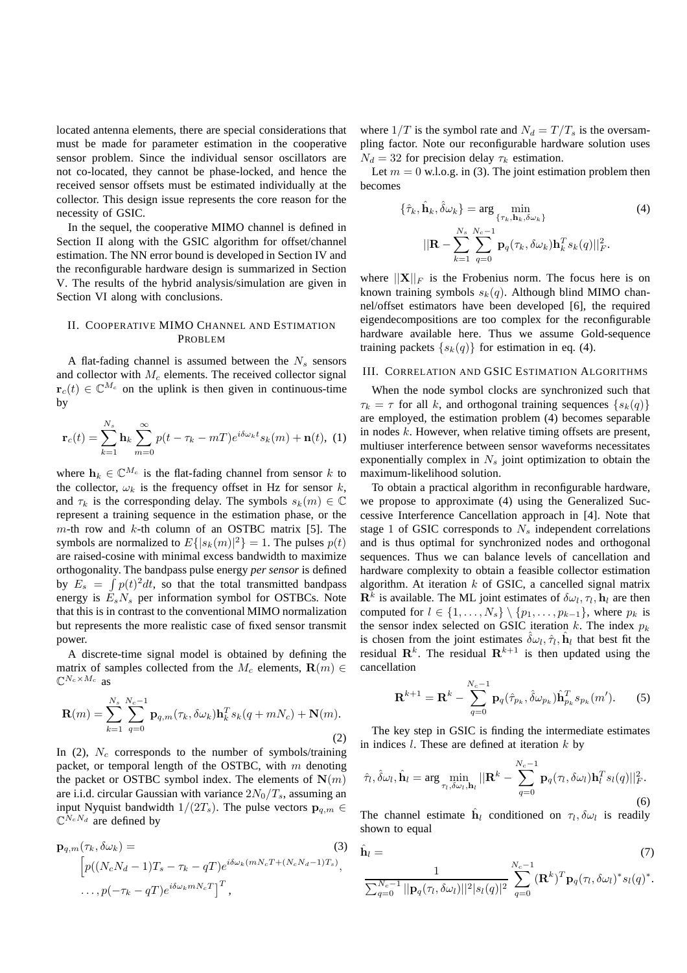located antenna elements, there are special considerations that must be made for parameter estimation in the cooperative sensor problem. Since the individual sensor oscillators are not co-located, they cannot be phase-locked, and hence the received sensor offsets must be estimated individually at the collector. This design issue represents the core reason for the necessity of GSIC.

In the sequel, the cooperative MIMO channel is defined in Section II along with the GSIC algorithm for offset/channel estimation. The NN error bound is developed in Section IV and the reconfigurable hardware design is summarized in Section V. The results of the hybrid analysis/simulation are given in Section VI along with conclusions.

# II. COOPERATIVE MIMO CHANNEL AND ESTIMATION PROBLEM

A flat-fading channel is assumed between the  $N_s$  sensors and collector with  $M_c$  elements. The received collector signal  $r_c(t) \in \mathbb{C}^{M_c}$  on the uplink is then given in continuous-time by

$$
\mathbf{r}_c(t) = \sum_{k=1}^{N_s} \mathbf{h}_k \sum_{m=0}^{\infty} p(t - \tau_k - mT) e^{i\delta \omega_k t} s_k(m) + \mathbf{n}(t), \tag{1}
$$

where  $h_k \in \mathbb{C}^{M_c}$  is the flat-fading channel from sensor k to the collector,  $\omega_k$  is the frequency offset in Hz for sensor k, and  $\tau_k$  is the corresponding delay. The symbols  $s_k(m) \in \mathbb{C}$ represent a training sequence in the estimation phase, or the  $m$ -th row and  $k$ -th column of an OSTBC matrix [5]. The symbols are normalized to  $E\{|s_k(m)|^2\} = 1$ . The pulses  $p(t)$ are raised-cosine with minimal excess bandwidth to maximize orthogonality. The bandpass pulse energy *per sensor* is defined by  $E_s = \int p(t)^2 dt$ , so that the total transmitted bandpass energy is  $E_sN_s$  per information symbol for OSTBCs. Note that this is in contrast to the conventional MIMO normalization but represents the more realistic case of fixed sensor transmit power.

A discrete-time signal model is obtained by defining the matrix of samples collected from the  $M_c$  elements,  $\mathbf{R}(m) \in$  $\mathbb{C}^{N_c \times M_c}$  as

$$
\mathbf{R}(m) = \sum_{k=1}^{N_s} \sum_{q=0}^{N_c-1} \mathbf{p}_{q,m}(\tau_k, \delta \omega_k) \mathbf{h}_k^T s_k(q+mN_c) + \mathbf{N}(m).
$$
\n(2)

In (2),  $N_c$  corresponds to the number of symbols/training packet, or temporal length of the OSTBC, with  $m$  denoting the packet or OSTBC symbol index. The elements of  $N(m)$ are i.i.d. circular Gaussian with variance  $2N_0/T_s$ , assuming an input Nyquist bandwidth  $1/(2T_s)$ . The pulse vectors  $\mathbf{p}_{q,m}$  $\mathbb{C}^{N_c N_d}$  are defined by

$$
\mathbf{p}_{q,m}(\tau_k, \delta \omega_k) = (3)
$$
  
\n
$$
\left[ p((N_c N_d - 1)T_s - \tau_k - qT)e^{i\delta \omega_k(mN_c T + (N_c N_d - 1)T_s)}, \dots, p(-\tau_k - qT)e^{i\delta \omega_k mN_c T} \right]^T,
$$

where  $1/T$  is the symbol rate and  $N_d = T/T_s$  is the oversampling factor. Note our reconfigurable hardware solution uses  $N_d = 32$  for precision delay  $\tau_k$  estimation.

Let  $m = 0$  w.l.o.g. in (3). The joint estimation problem then becomes

$$
\{\hat{\tau}_k, \hat{\mathbf{h}}_k, \hat{\delta}\omega_k\} = \arg\min_{\{\tau_k, \mathbf{h}_k, \delta\omega_k\}}\tag{4}
$$
\n
$$
||\mathbf{R} - \sum_{k=1}^{N_s} \sum_{q=0}^{N_c-1} \mathbf{p}_q(\tau_k, \delta\omega_k) \mathbf{h}_k^T s_k(q)||_F^2.
$$

where  $||\mathbf{X}||_F$  is the Frobenius norm. The focus here is on known training symbols  $s_k(q)$ . Although blind MIMO channel/offset estimators have been developed [6], the required eigendecompositions are too complex for the reconfigurable hardware available here. Thus we assume Gold-sequence training packets  $\{s_k(q)\}\$ for estimation in eq. (4).

## III. CORRELATION AND GSIC ESTIMATION ALGORITHMS

When the node symbol clocks are synchronized such that  $\tau_k = \tau$  for all k, and orthogonal training sequences  $\{s_k(q)\}\$ are employed, the estimation problem (4) becomes separable in nodes  $k$ . However, when relative timing offsets are present, multiuser interference between sensor waveforms necessitates exponentially complex in  $N_s$  joint optimization to obtain the maximum-likelihood solution.

To obtain a practical algorithm in reconfigurable hardware, we propose to approximate (4) using the Generalized Successive Interference Cancellation approach in [4]. Note that stage 1 of GSIC corresponds to  $N_s$  independent correlations and is thus optimal for synchronized nodes and orthogonal sequences. Thus we can balance levels of cancellation and hardware complexity to obtain a feasible collector estimation algorithm. At iteration  $k$  of GSIC, a cancelled signal matrix  $\mathbf{R}^k$  is available. The ML joint estimates of  $\delta \omega_l, \tau_l, \mathbf{h}_l$  are then computed for  $l \in \{1, \ldots, N_s\} \setminus \{p_1, \ldots, p_{k-1}\}\$ , where  $p_k$  is the sensor index selected on GSIC iteration k. The index  $p_k$ is chosen from the joint estimates  $\hat{\delta} \omega_l, \hat{\tau}_l, \hat{h}_l$  that best fit the residual  $\mathbf{R}^{k}$ . The residual  $\mathbf{R}^{k+1}$  is then updated using the cancellation

$$
\mathbf{R}^{k+1} = \mathbf{R}^k - \sum_{q=0}^{N_c-1} \mathbf{p}_q(\hat{\tau}_{p_k}, \hat{\delta}\omega_{p_k}) \hat{\mathbf{h}}_{p_k}^T s_{p_k}(m').
$$
 (5)

The key step in GSIC is finding the intermediate estimates in indices  $l$ . These are defined at iteration  $k$  by

$$
\hat{\tau}_l, \hat{\delta}\omega_l, \hat{\mathbf{h}}_l = \arg\min_{\tau_l, \delta\omega_l, \mathbf{h}_l} ||\mathbf{R}^k - \sum_{q=0}^{N_c - 1} \mathbf{p}_q(\tau_l, \delta\omega_l) \mathbf{h}_l^T s_l(q)||_F^2.
$$
\n(6)

The channel estimate  $\hat{\mathbf{h}}_l$  conditioned on  $\tau_l, \delta \omega_l$  is readily shown to equal

$$
\hat{\mathbf{h}}_l = \tag{7}
$$

$$
\frac{1}{\sum_{q=0}^{N_c-1}||\mathbf{p}_q(\tau_l, \delta \omega_l)||^2|s_l(q)|^2} \sum_{q=0}^{N_c-1} (\mathbf{R}^k)^T \mathbf{p}_q(\tau_l, \delta \omega_l)^* s_l(q)^*.
$$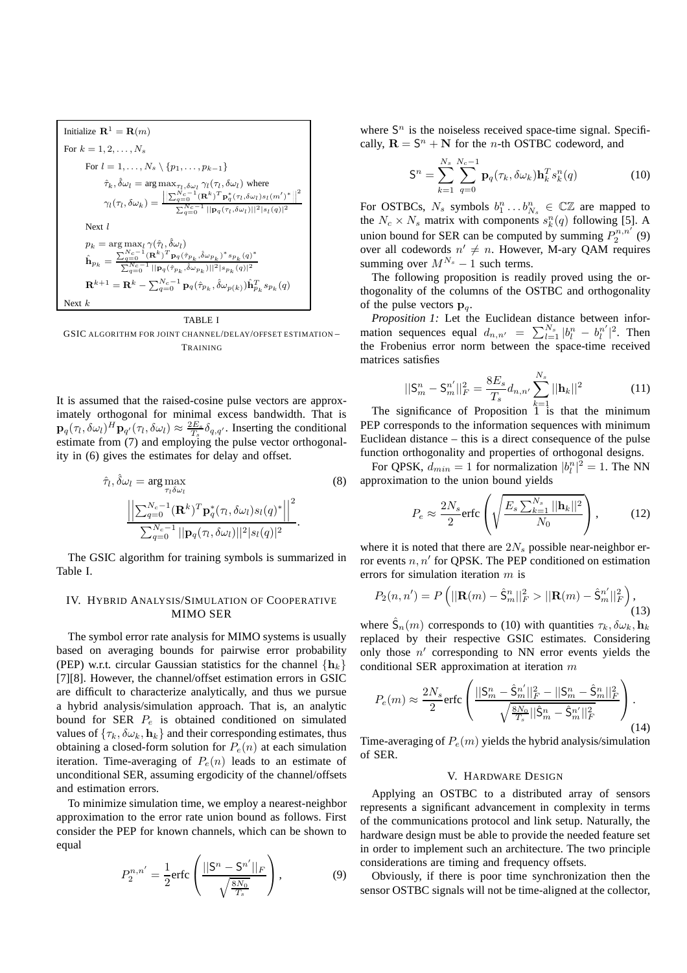$$
\begin{aligned} \text{Initialize } \mathbf{R}^1 &= \mathbf{R}(m) \\ \text{For } k=1,2,\ldots,N_s \\ \text{For } l=1,\ldots,N_s\setminus\{p_1,\ldots,p_{k-1}\} \\ \hat{\tau}_k,\hat{\delta}\omega_l &= \arg\max_{\tau_l,\delta\omega_l}\gamma_l(\tau_l,\delta\omega_l)\text{ where } \\ \gamma_l(\tau_l,\delta\omega_k) &= \frac{\left\|\sum_{q=0}^{N_c-1}(\mathbf{R}^k)^T\mathbf{p}_q^*(\tau_l,\delta\omega_l)s_l(m')^*\right\|^2}{\sum_{q=0}^{N_c-1}||\mathbf{p}_q(\tau_l,\delta\omega_l)||^2|s_l(q)|^2} \\ \text{Next } l \\ p_k &= \arg\max_{l}\gamma(\hat{\tau}_l,\hat{\delta}\omega_l) \\ \hat{\mathbf{h}}_{p_k} &= \frac{\sum_{q=0}^{N_c-1}(\mathbf{R}^k)^T\mathbf{p}_q(\hat{\tau}_{p_k},\hat{\delta}\omega_{p_k})^*s_{p_k}(q)^*}{\sum_{q=0}^{N_c-1}||\mathbf{p}_q(\hat{\tau}_{p_k},\hat{\delta}\omega_{p_k})||^2|s_{p_k}(q)|^2} \\ \mathbf{R}^{k+1} &= \mathbf{R}^k - \sum_{q=0}^{N_c-1}\mathbf{p}_q(\hat{\tau}_{p_k},\hat{\delta}\omega_{p(k)})\hat{\mathbf{h}}_{p_k}^Ts_{p_k}(q) \\ \text{Next } k \end{aligned}
$$

#### TABLE I

GSIC ALGORITHM FOR JOINT CHANNEL/DELAY/OFFSET ESTIMATION – TRAINING

It is assumed that the raised-cosine pulse vectors are approximately orthogonal for minimal excess bandwidth. That is  $\mathbf{p}_q(\tau_l, \delta \omega_l)^H \mathbf{p}_{q'}(\tau_l, \delta \omega_l) \approx \frac{2E_s}{T_s} \delta_{q,q'}$ . Inserting the conditional estimate from (7) and employing the pulse vector orthogonality in (6) gives the estimates for delay and offset.

$$
\hat{\tau}_l, \hat{\delta}\omega_l = \arg\max_{\tau_l \delta\omega_l} \tag{8}
$$
\n
$$
\frac{\left| \left| \sum_{q=0}^{N_c-1} (\mathbf{R}^k)^T \mathbf{p}_q^*(\tau_l, \delta\omega_l) s_l(q)^* \right| \right|^2}{\sum_{q=0}^{N_c-1} ||\mathbf{p}_q(\tau_l, \delta\omega_l)||^2 |s_l(q)|^2}.
$$

The GSIC algorithm for training symbols is summarized in Table I.

## IV. HYBRID ANALYSIS/SIMULATION OF COOPERATIVE MIMO SER

The symbol error rate analysis for MIMO systems is usually based on averaging bounds for pairwise error probability (PEP) w.r.t. circular Gaussian statistics for the channel  $\{h_k\}$ [7][8]. However, the channel/offset estimation errors in GSIC are difficult to characterize analytically, and thus we pursue a hybrid analysis/simulation approach. That is, an analytic bound for SER  $P_e$  is obtained conditioned on simulated values of  $\{\tau_k, \delta \omega_k, \mathbf{h}_k\}$  and their corresponding estimates, thus obtaining a closed-form solution for  $P_e(n)$  at each simulation iteration. Time-averaging of  $P_e(n)$  leads to an estimate of unconditional SER, assuming ergodicity of the channel/offsets and estimation errors.

To minimize simulation time, we employ a nearest-neighbor approximation to the error rate union bound as follows. First consider the PEP for known channels, which can be shown to equal

$$
P_2^{n,n'} = \frac{1}{2} \text{erfc}\left(\frac{||\mathbf{S}^n - \mathbf{S}^{n'}||_F}{\sqrt{\frac{8N_0}{T_s}}}\right),\tag{9}
$$

where  $S<sup>n</sup>$  is the noiseless received space-time signal. Specifically,  $\mathbf{R} = \mathbf{S}^n + \mathbf{N}$  for the *n*-th OSTBC codeword, and

$$
\mathsf{S}^n = \sum_{k=1}^{N_s} \sum_{q=0}^{N_c-1} \mathbf{p}_q(\tau_k, \delta \omega_k) \mathbf{h}_k^T s_k^n(q) \tag{10}
$$

For OSTBCs,  $N_s$  symbols  $b_1^n \dots b_{N_s}^n \in \mathbb{C} \mathbb{Z}$  are mapped to the  $N_c \times N_s$  matrix with components  $s_k^n(q)$  following [5]. A union bound for SER can be computed by summing  $P_2^{n,n'}(9)$ over all codewords  $n' \neq n$ . However, M-ary QAM requires summing over  $M^{N_s} - 1$  such terms.

The following proposition is readily proved using the orthogonality of the columns of the OSTBC and orthogonality of the pulse vectors  $\mathbf{p}_q$ .

*Proposition 1:* Let the Euclidean distance between information sequences equal  $d_{n,n'} = \sum_{l=1}^{N_s} |b_l^n - b_l^{n'}|$  $\binom{n'}{l}^2$ . Then the Frobenius error norm between the space-time received matrices satisfies

$$
||\mathbf{S}_m^n - \mathbf{S}_m^{n'}||_F^2 = \frac{8E_s}{T_s} d_{n,n'} \sum_{k=1}^{N_s} ||\mathbf{h}_k||^2
$$
 (11)

The significance of Proposition  $\overline{1}^{\overline{k}=1}$  is that the minimum PEP corresponds to the information sequences with minimum Euclidean distance – this is a direct consequence of the pulse function orthogonality and properties of orthogonal designs.

For QPSK,  $d_{min} = 1$  for normalization  $|b_l^n|^2 = 1$ . The NN approximation to the union bound yields

$$
P_e \approx \frac{2N_s}{2} \text{erfc}\left(\sqrt{\frac{E_s \sum_{k=1}^{N_s} ||\mathbf{h}_k||^2}{N_0}}\right),\tag{12}
$$

where it is noted that there are  $2N_s$  possible near-neighbor error events  $n, n'$  for QPSK. The PEP conditioned on estimation errors for simulation iteration m is

$$
P_2(n, n') = P\left(||\mathbf{R}(m) - \hat{\mathbf{S}}_m^n||_F^2 > ||\mathbf{R}(m) - \hat{\mathbf{S}}_m^{n'}||_F^2\right),\tag{13}
$$

where  $\hat{S}_n(m)$  corresponds to (10) with quantities  $\tau_k, \delta \omega_k, \mathbf{h}_k$ replaced by their respective GSIC estimates. Considering only those  $n'$  corresponding to NN error events yields the conditional SER approximation at iteration m

$$
P_e(m) \approx \frac{2N_s}{2} \text{erfc}\left(\frac{||\mathbf{S}_m^n - \hat{\mathbf{S}}_m^{n'}||_F^2 - ||\mathbf{S}_m^n - \hat{\mathbf{S}}_m^{n}||_F^2}{\sqrt{\frac{8N_0}{T_s}||\hat{\mathbf{S}}_m^n - \hat{\mathbf{S}}_m^{n'}||_F^2}}\right).
$$
\n(14)

Time-averaging of  $P_e(m)$  yields the hybrid analysis/simulation of SER.

## V. HARDWARE DESIGN

Applying an OSTBC to a distributed array of sensors represents a significant advancement in complexity in terms of the communications protocol and link setup. Naturally, the hardware design must be able to provide the needed feature set in order to implement such an architecture. The two principle considerations are timing and frequency offsets.

Obviously, if there is poor time synchronization then the sensor OSTBC signals will not be time-aligned at the collector,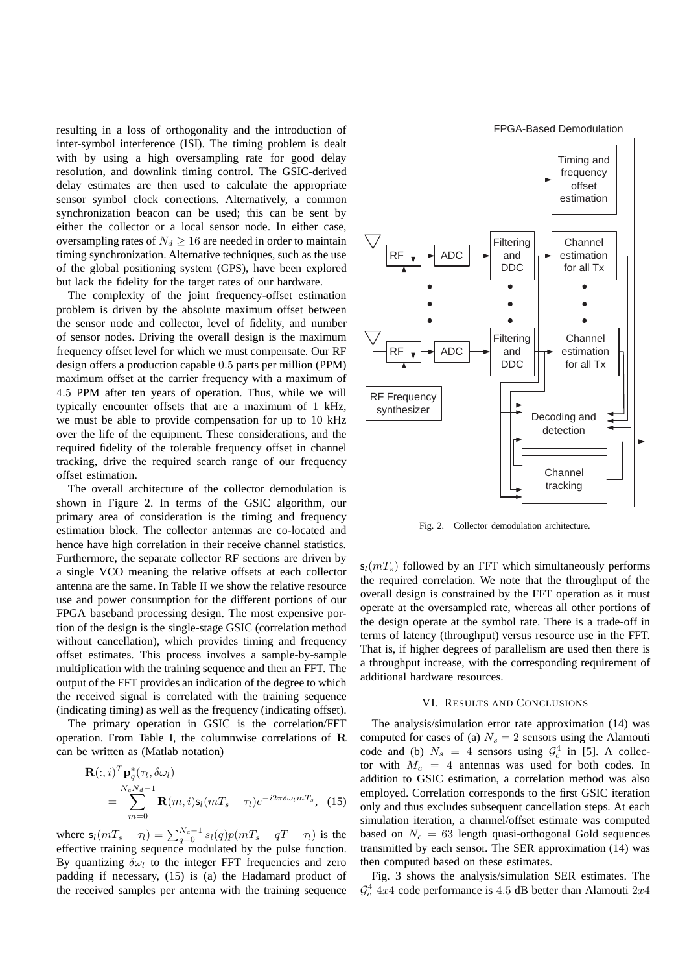resulting in a loss of orthogonality and the introduction of inter-symbol interference (ISI). The timing problem is dealt with by using a high oversampling rate for good delay resolution, and downlink timing control. The GSIC-derived delay estimates are then used to calculate the appropriate sensor symbol clock corrections. Alternatively, a common synchronization beacon can be used; this can be sent by either the collector or a local sensor node. In either case, oversampling rates of  $N_d \geq 16$  are needed in order to maintain timing synchronization. Alternative techniques, such as the use of the global positioning system (GPS), have been explored but lack the fidelity for the target rates of our hardware.

The complexity of the joint frequency-offset estimation problem is driven by the absolute maximum offset between the sensor node and collector, level of fidelity, and number of sensor nodes. Driving the overall design is the maximum frequency offset level for which we must compensate. Our RF design offers a production capable 0.5 parts per million (PPM) maximum offset at the carrier frequency with a maximum of 4.5 PPM after ten years of operation. Thus, while we will typically encounter offsets that are a maximum of 1 kHz, we must be able to provide compensation for up to 10 kHz over the life of the equipment. These considerations, and the required fidelity of the tolerable frequency offset in channel tracking, drive the required search range of our frequency offset estimation.

The overall architecture of the collector demodulation is shown in Figure 2. In terms of the GSIC algorithm, our primary area of consideration is the timing and frequency estimation block. The collector antennas are co-located and hence have high correlation in their receive channel statistics. Furthermore, the separate collector RF sections are driven by a single VCO meaning the relative offsets at each collector antenna are the same. In Table II we show the relative resource use and power consumption for the different portions of our FPGA baseband processing design. The most expensive portion of the design is the single-stage GSIC (correlation method without cancellation), which provides timing and frequency offset estimates. This process involves a sample-by-sample multiplication with the training sequence and then an FFT. The output of the FFT provides an indication of the degree to which the received signal is correlated with the training sequence (indicating timing) as well as the frequency (indicating offset).

The primary operation in GSIC is the correlation/FFT operation. From Table I, the columnwise correlations of R can be written as (Matlab notation)

$$
\mathbf{R}(:,i)^T \mathbf{p}_q^*(\tau_l, \delta \omega_l)
$$
  
= 
$$
\sum_{m=0}^{N_c N_d - 1} \mathbf{R}(m, i) \mathbf{s}_l (mT_s - \tau_l) e^{-i2\pi \delta \omega_l m T_s},
$$
 (15)

where  $s_l(mT_s - \tau_l) = \sum_{q=0}^{N_c-1} s_l(q) p(mT_s - qT - \tau_l)$  is the effective training sequence modulated by the pulse function. By quantizing  $\delta \omega_l$  to the integer FFT frequencies and zero padding if necessary, (15) is (a) the Hadamard product of the received samples per antenna with the training sequence



Fig. 2. Collector demodulation architecture.

 $s_l(mT_s)$  followed by an FFT which simultaneously performs the required correlation. We note that the throughput of the overall design is constrained by the FFT operation as it must operate at the oversampled rate, whereas all other portions of the design operate at the symbol rate. There is a trade-off in terms of latency (throughput) versus resource use in the FFT. That is, if higher degrees of parallelism are used then there is a throughput increase, with the corresponding requirement of additional hardware resources.

#### VI. RESULTS AND CONCLUSIONS

The analysis/simulation error rate approximation (14) was computed for cases of (a)  $N_s = 2$  sensors using the Alamouti code and (b)  $N_s = 4$  sensors using  $\mathcal{G}_c^4$  in [5]. A collector with  $M_c = 4$  antennas was used for both codes. In addition to GSIC estimation, a correlation method was also employed. Correlation corresponds to the first GSIC iteration only and thus excludes subsequent cancellation steps. At each simulation iteration, a channel/offset estimate was computed based on  $N_c = 63$  length quasi-orthogonal Gold sequences transmitted by each sensor. The SER approximation (14) was then computed based on these estimates.

Fig. 3 shows the analysis/simulation SER estimates. The  $\mathcal{G}^4_c$  4x4 code performance is 4.5 dB better than Alamouti 2x4